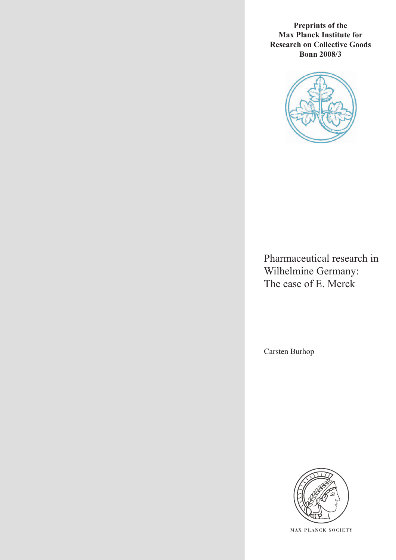**Preprints of the Max Planck Institute for Research on Collective Goods Bonn 2008/3**



Pharmaceutical research in Wilhelmine Germany: The case of E. Merck

Carsten Burhop



**M AX P L A N C K S O C I E T Y**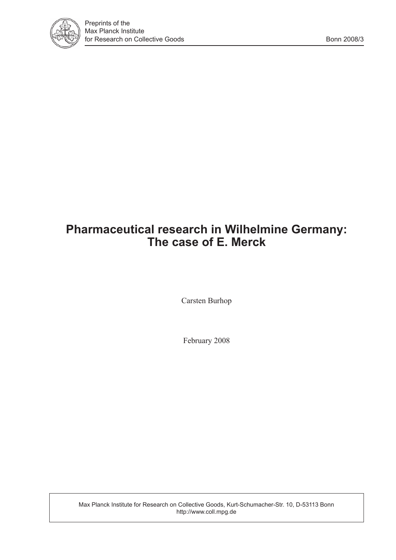

# **Pharmaceutical research in Wilhelmine Germany: The case of E. Merck**

Carsten Burhop

February 2008

Max Planck Institute for Research on Collective Goods, Kurt-Schumacher-Str. 10, D-53113 Bonn http://www.coll.mpg.de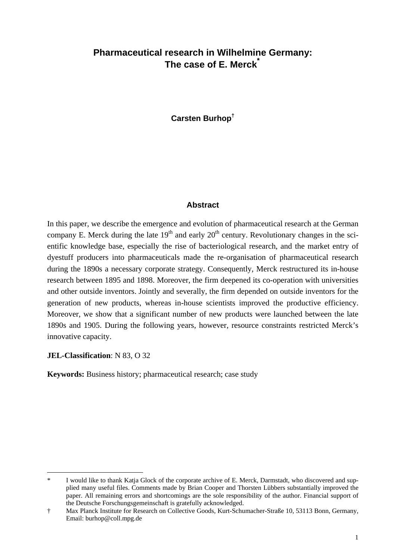## **Pharmaceutical research in Wilhelmine Germany: The case of E. Merck\***

**Carsten Burhop†**

## **Abstract**

In this paper, we describe the emergence and evolution of pharmaceutical research at the German company E. Merck during the late  $19<sup>th</sup>$  and early  $20<sup>th</sup>$  century. Revolutionary changes in the scientific knowledge base, especially the rise of bacteriological research, and the market entry of dyestuff producers into pharmaceuticals made the re-organisation of pharmaceutical research during the 1890s a necessary corporate strategy. Consequently, Merck restructured its in-house research between 1895 and 1898. Moreover, the firm deepened its co-operation with universities and other outside inventors. Jointly and severally, the firm depended on outside inventors for the generation of new products, whereas in-house scientists improved the productive efficiency. Moreover, we show that a significant number of new products were launched between the late 1890s and 1905. During the following years, however, resource constraints restricted Merck's innovative capacity.

**JEL-Classification**: N 83, O 32

 $\overline{a}$ 

**Keywords:** Business history; pharmaceutical research; case study

<sup>\*</sup> I would like to thank Katja Glock of the corporate archive of E. Merck, Darmstadt, who discovered and supplied many useful files. Comments made by Brian Cooper and Thorsten Lübbers substantially improved the paper. All remaining errors and shortcomings are the sole responsibility of the author. Financial support of the Deutsche Forschungsgemeinschaft is gratefully acknowledged.

<sup>†</sup> Max Planck Institute for Research on Collective Goods, Kurt-Schumacher-Straße 10, 53113 Bonn, Germany, Email: burhop@coll.mpg.de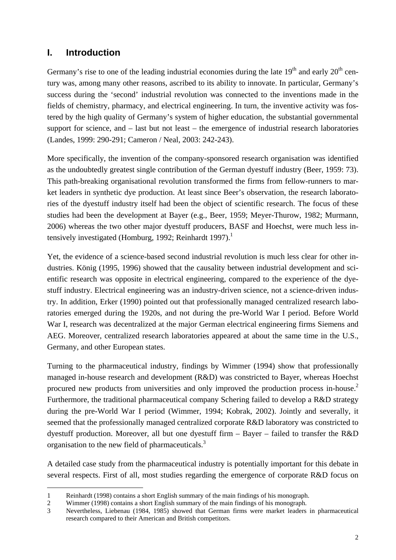## **I. Introduction**

j

Germany's rise to one of the leading industrial economies during the late  $19<sup>th</sup>$  and early  $20<sup>th</sup>$  century was, among many other reasons, ascribed to its ability to innovate. In particular, Germany's success during the 'second' industrial revolution was connected to the inventions made in the fields of chemistry, pharmacy, and electrical engineering. In turn, the inventive activity was fostered by the high quality of Germany's system of higher education, the substantial governmental support for science, and – last but not least – the emergence of industrial research laboratories (Landes, 1999: 290-291; Cameron / Neal, 2003: 242-243).

More specifically, the invention of the company-sponsored research organisation was identified as the undoubtedly greatest single contribution of the German dyestuff industry (Beer, 1959: 73). This path-breaking organisational revolution transformed the firms from fellow-runners to market leaders in synthetic dye production. At least since Beer's observation, the research laboratories of the dyestuff industry itself had been the object of scientific research. The focus of these studies had been the development at Bayer (e.g., Beer, 1959; Meyer-Thurow, 1982; Murmann, 2006) whereas the two other major dyestuff producers, BASF and Hoechst, were much less intensively investigated (Homburg, 1992; Reinhardt 1997).<sup>1</sup>

Yet, the evidence of a science-based second industrial revolution is much less clear for other industries. König (1995, 1996) showed that the causality between industrial development and scientific research was opposite in electrical engineering, compared to the experience of the dyestuff industry. Electrical engineering was an industry-driven science, not a science-driven industry. In addition, Erker (1990) pointed out that professionally managed centralized research laboratories emerged during the 1920s, and not during the pre-World War I period. Before World War I, research was decentralized at the major German electrical engineering firms Siemens and AEG. Moreover, centralized research laboratories appeared at about the same time in the U.S., Germany, and other European states.

Turning to the pharmaceutical industry, findings by Wimmer (1994) show that professionally managed in-house research and development (R&D) was constricted to Bayer, whereas Hoechst procured new products from universities and only improved the production process in-house.<sup>2</sup> Furthermore, the traditional pharmaceutical company Schering failed to develop a R&D strategy during the pre-World War I period (Wimmer, 1994; Kobrak, 2002). Jointly and severally, it seemed that the professionally managed centralized corporate R&D laboratory was constricted to dyestuff production. Moreover, all but one dyestuff firm – Bayer – failed to transfer the R&D organisation to the new field of pharmaceuticals.<sup>3</sup>

A detailed case study from the pharmaceutical industry is potentially important for this debate in several respects. First of all, most studies regarding the emergence of corporate R&D focus on

<sup>1</sup> Reinhardt (1998) contains a short English summary of the main findings of his monograph.

<sup>2</sup> Wimmer (1998) contains a short English summary of the main findings of his monograph.

<sup>3</sup> Nevertheless, Liebenau (1984, 1985) showed that German firms were market leaders in pharmaceutical research compared to their American and British competitors.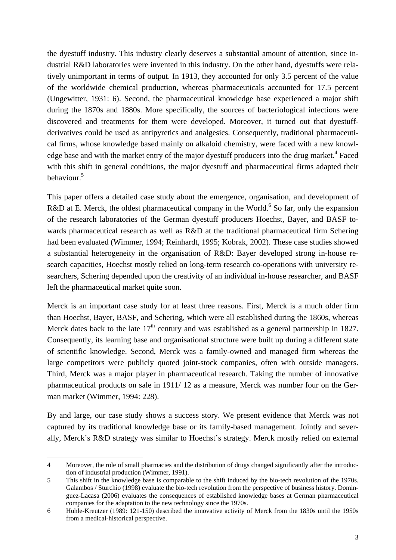the dyestuff industry. This industry clearly deserves a substantial amount of attention, since industrial R&D laboratories were invented in this industry. On the other hand, dyestuffs were relatively unimportant in terms of output. In 1913, they accounted for only 3.5 percent of the value of the worldwide chemical production, whereas pharmaceuticals accounted for 17.5 percent (Ungewitter, 1931: 6). Second, the pharmaceutical knowledge base experienced a major shift during the 1870s and 1880s. More specifically, the sources of bacteriological infections were discovered and treatments for them were developed. Moreover, it turned out that dyestuffderivatives could be used as antipyretics and analgesics. Consequently, traditional pharmaceutical firms, whose knowledge based mainly on alkaloid chemistry, were faced with a new knowledge base and with the market entry of the major dyestuff producers into the drug market.<sup>4</sup> Faced with this shift in general conditions, the major dyestuff and pharmaceutical firms adapted their behaviour.<sup>5</sup>

This paper offers a detailed case study about the emergence, organisation, and development of R&D at E. Merck, the oldest pharmaceutical company in the World.<sup>6</sup> So far, only the expansion of the research laboratories of the German dyestuff producers Hoechst, Bayer, and BASF towards pharmaceutical research as well as R&D at the traditional pharmaceutical firm Schering had been evaluated (Wimmer, 1994; Reinhardt, 1995; Kobrak, 2002). These case studies showed a substantial heterogeneity in the organisation of R&D: Bayer developed strong in-house research capacities, Hoechst mostly relied on long-term research co-operations with university researchers, Schering depended upon the creativity of an individual in-house researcher, and BASF left the pharmaceutical market quite soon.

Merck is an important case study for at least three reasons. First, Merck is a much older firm than Hoechst, Bayer, BASF, and Schering, which were all established during the 1860s, whereas Merck dates back to the late  $17<sup>th</sup>$  century and was established as a general partnership in 1827. Consequently, its learning base and organisational structure were built up during a different state of scientific knowledge. Second, Merck was a family-owned and managed firm whereas the large competitors were publicly quoted joint-stock companies, often with outside managers. Third, Merck was a major player in pharmaceutical research. Taking the number of innovative pharmaceutical products on sale in 1911/ 12 as a measure, Merck was number four on the German market (Wimmer, 1994: 228).

By and large, our case study shows a success story. We present evidence that Merck was not captured by its traditional knowledge base or its family-based management. Jointly and severally, Merck's R&D strategy was similar to Hoechst's strategy. Merck mostly relied on external

<sup>4</sup> Moreover, the role of small pharmacies and the distribution of drugs changed significantly after the introduction of industrial production (Wimmer, 1991).

<sup>5</sup> This shift in the knowledge base is comparable to the shift induced by the bio-tech revolution of the 1970s. Galambos / Sturchio (1998) evaluate the bio-tech revolution from the perspective of business history. Dominguez-Lacasa (2006) evaluates the consequences of established knowledge bases at German pharmaceutical companies for the adaptation to the new technology since the 1970s.

<sup>6</sup> Huhle-Kreutzer (1989: 121-150) described the innovative activity of Merck from the 1830s until the 1950s from a medical-historical perspective.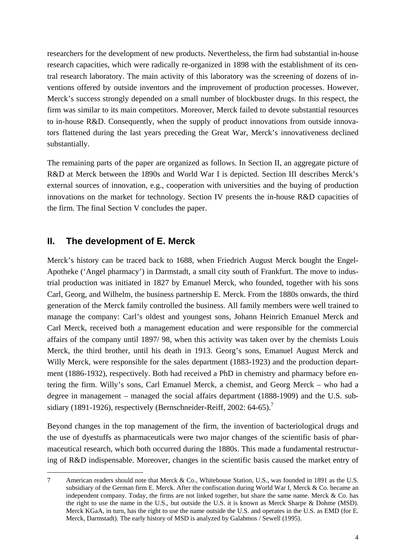researchers for the development of new products. Nevertheless, the firm had substantial in-house research capacities, which were radically re-organized in 1898 with the establishment of its central research laboratory. The main activity of this laboratory was the screening of dozens of inventions offered by outside inventors and the improvement of production processes. However, Merck's success strongly depended on a small number of blockbuster drugs. In this respect, the firm was similar to its main competitors. Moreover, Merck failed to devote substantial resources to in-house R&D. Consequently, when the supply of product innovations from outside innovators flattened during the last years preceding the Great War, Merck's innovativeness declined substantially.

The remaining parts of the paper are organized as follows. In Section II, an aggregate picture of R&D at Merck between the 1890s and World War I is depicted. Section III describes Merck's external sources of innovation, e.g., cooperation with universities and the buying of production innovations on the market for technology. Section IV presents the in-house R&D capacities of the firm. The final Section V concludes the paper.

## **II. The development of E. Merck**

 $\overline{a}$ 

Merck's history can be traced back to 1688, when Friedrich August Merck bought the Engel-Apotheke ('Angel pharmacy') in Darmstadt, a small city south of Frankfurt. The move to industrial production was initiated in 1827 by Emanuel Merck, who founded, together with his sons Carl, Georg, and Wilhelm, the business partnership E. Merck. From the 1880s onwards, the third generation of the Merck family controlled the business. All family members were well trained to manage the company: Carl's oldest and youngest sons, Johann Heinrich Emanuel Merck and Carl Merck, received both a management education and were responsible for the commercial affairs of the company until 1897/ 98, when this activity was taken over by the chemists Louis Merck, the third brother, until his death in 1913. Georg's sons, Emanuel August Merck and Willy Merck, were responsible for the sales department (1883-1923) and the production department (1886-1932), respectively. Both had received a PhD in chemistry and pharmacy before entering the firm. Willy's sons, Carl Emanuel Merck, a chemist, and Georg Merck – who had a degree in management – managed the social affairs department (1888-1909) and the U.S. subsidiary (1891-1926), respectively (Bernschneider-Reiff, 2002:  $64-65$ ).<sup>7</sup>

Beyond changes in the top management of the firm, the invention of bacteriological drugs and the use of dyestuffs as pharmaceuticals were two major changes of the scientific basis of pharmaceutical research, which both occurred during the 1880s. This made a fundamental restructuring of R&D indispensable. Moreover, changes in the scientific basis caused the market entry of

<sup>7</sup> American readers should note that Merck & Co., Whitehouse Station, U.S., was founded in 1891 as the U.S. subsidiary of the German firm E. Merck. After the confiscation during World War I, Merck & Co. became an independent company. Today, the firms are not linked together, but share the same name. Merck & Co. has the right to use the name in the U.S., but outside the U.S. it is known as Merck Sharpe & Dohme (MSD). Merck KGaA, in turn, has the right to use the name outside the U.S. and operates in the U.S. as EMD (for E. Merck, Darmstadt). The early history of MSD is analyzed by Galabmos / Sewell (1995).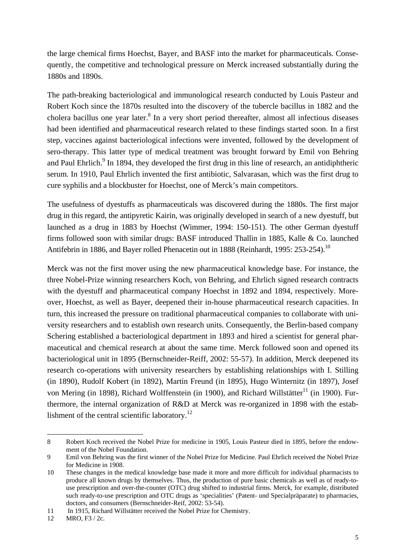the large chemical firms Hoechst, Bayer, and BASF into the market for pharmaceuticals. Consequently, the competitive and technological pressure on Merck increased substantially during the 1880s and 1890s.

The path-breaking bacteriological and immunological research conducted by Louis Pasteur and Robert Koch since the 1870s resulted into the discovery of the tubercle bacillus in 1882 and the cholera bacillus one year later.<sup>8</sup> In a very short period thereafter, almost all infectious diseases had been identified and pharmaceutical research related to these findings started soon. In a first step, vaccines against bacteriological infections were invented, followed by the development of sero-therapy. This latter type of medical treatment was brought forward by Emil von Behring and Paul Ehrlich.<sup>9</sup> In 1894, they developed the first drug in this line of research, an antidiphtheric serum. In 1910, Paul Ehrlich invented the first antibiotic, Salvarasan, which was the first drug to cure syphilis and a blockbuster for Hoechst, one of Merck's main competitors.

The usefulness of dyestuffs as pharmaceuticals was discovered during the 1880s. The first major drug in this regard, the antipyretic Kairin, was originally developed in search of a new dyestuff, but launched as a drug in 1883 by Hoechst (Wimmer, 1994: 150-151). The other German dyestuff firms followed soon with similar drugs: BASF introduced Thallin in 1885, Kalle & Co. launched Antifebrin in 1886, and Bayer rolled Phenacetin out in 1888 (Reinhardt, 1995: 253-254).<sup>10</sup>

Merck was not the first mover using the new pharmaceutical knowledge base. For instance, the three Nobel-Prize winning researchers Koch, von Behring, and Ehrlich signed research contracts with the dyestuff and pharmaceutical company Hoechst in 1892 and 1894, respectively. Moreover, Hoechst, as well as Bayer, deepened their in-house pharmaceutical research capacities. In turn, this increased the pressure on traditional pharmaceutical companies to collaborate with university researchers and to establish own research units. Consequently, the Berlin-based company Schering established a bacteriological department in 1893 and hired a scientist for general pharmaceutical and chemical research at about the same time. Merck followed soon and opened its bacteriological unit in 1895 (Bernschneider-Reiff, 2002: 55-57). In addition, Merck deepened its research co-operations with university researchers by establishing relationships with I. Stilling (in 1890), Rudolf Kobert (in 1892), Martin Freund (in 1895), Hugo Winternitz (in 1897), Josef von Mering (in 1898), Richard Wolffenstein (in 1900), and Richard Willstätter<sup>11</sup> (in 1900). Furthermore, the internal organization of R&D at Merck was re-organized in 1898 with the establishment of the central scientific laboratory.<sup>12</sup>

<sup>8</sup> Robert Koch received the Nobel Prize for medicine in 1905, Louis Pasteur died in 1895, before the endowment of the Nobel Foundation.

<sup>9</sup> Emil von Behring was the first winner of the Nobel Prize for Medicine. Paul Ehrlich received the Nobel Prize for Medicine in 1908.

<sup>10</sup> These changes in the medical knowledge base made it more and more difficult for individual pharmacists to produce all known drugs by themselves. Thus, the production of pure basic chemicals as well as of ready-touse prescription and over-the-counter (OTC) drug shifted to industrial firms. Merck, for example, distributed such ready-to-use prescription and OTC drugs as 'specialities' (Patent- und Specialpräparate) to pharmacies, doctors, and consumers (Bernschneider-Reif, 2002: 53-54).

<sup>11</sup> In 1915, Richard Willstätter received the Nobel Prize for Chemistry.

<sup>12</sup> MRO, F3 / 2c.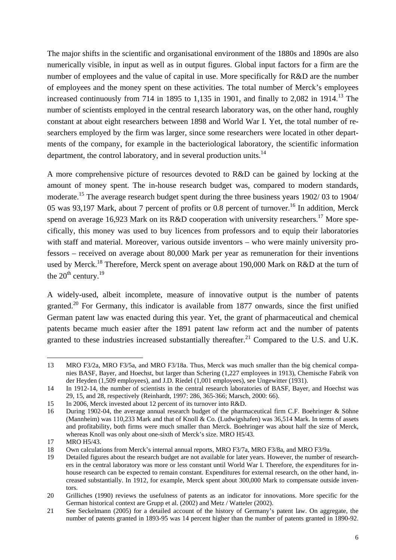The major shifts in the scientific and organisational environment of the 1880s and 1890s are also numerically visible, in input as well as in output figures. Global input factors for a firm are the number of employees and the value of capital in use. More specifically for R&D are the number of employees and the money spent on these activities. The total number of Merck's employees increased continuously from 714 in 1895 to 1,135 in 1901, and finally to 2,082 in 1914.<sup>13</sup> The number of scientists employed in the central research laboratory was, on the other hand, roughly constant at about eight researchers between 1898 and World War I. Yet, the total number of researchers employed by the firm was larger, since some researchers were located in other departments of the company, for example in the bacteriological laboratory, the scientific information department, the control laboratory, and in several production units.<sup>14</sup>

A more comprehensive picture of resources devoted to R&D can be gained by locking at the amount of money spent. The in-house research budget was, compared to modern standards, moderate.<sup>15</sup> The average research budget spent during the three business years 1902/03 to 1904/ 05 was 93,197 Mark, about 7 percent of profits or 0.8 percent of turnover.<sup>16</sup> In addition, Merck spend on average 16,923 Mark on its R&D cooperation with university researchers.<sup>17</sup> More specifically, this money was used to buy licences from professors and to equip their laboratories with staff and material. Moreover, various outside inventors – who were mainly university professors – received on average about 80,000 Mark per year as remuneration for their inventions used by Merck.<sup>18</sup> Therefore, Merck spent on average about 190,000 Mark on R&D at the turn of the  $20^{th}$  century.<sup>19</sup>

A widely-used, albeit incomplete, measure of innovative output is the number of patents granted.<sup>20</sup> For Germany, this indicator is available from 1877 onwards, since the first unified German patent law was enacted during this year. Yet, the grant of pharmaceutical and chemical patents became much easier after the 1891 patent law reform act and the number of patents granted to these industries increased substantially thereafter.<sup>21</sup> Compared to the U.S. and U.K.

<sup>13</sup> MRO F3/2a, MRO F3/5a, and MRO F3/18a. Thus, Merck was much smaller than the big chemical companies BASF, Bayer, and Hoechst, but larger than Schering (1,227 employees in 1913), Chemische Fabrik von der Heyden (1,509 employees), and J.D. Riedel (1,001 employees), see Ungewitter (1931).

<sup>14</sup> In 1912-14, the number of scientists in the central research laboratories of BASF, Bayer, and Hoechst was 29, 15, and 28, respectively (Reinhardt, 1997: 286, 365-366; Marsch, 2000: 66).

<sup>15</sup> In 2006, Merck invested about 12 percent of its turnover into R&D.

<sup>16</sup> During 1902-04, the average annual research budget of the pharmaceutical firm C.F. Boehringer & Söhne (Mannheim) was 110,233 Mark and that of Knoll & Co. (Ludwigshafen) was 36,514 Mark. In terms of assets and profitability, both firms were much smaller than Merck. Boehringer was about half the size of Merck, whereas Knoll was only about one-sixth of Merck's size. MRO H5/43.

<sup>17</sup> MRO H5/43.

<sup>18</sup> Own calculations from Merck's internal annual reports, MRO F3/7a, MRO F3/8a, and MRO F3/9a.

<sup>19</sup> Detailed figures about the research budget are not available for later years. However, the number of researchers in the central laboratory was more or less constant until World War I. Therefore, the expenditures for inhouse research can be expected to remain constant. Expenditures for external research, on the other hand, increased substantially. In 1912, for example, Merck spent about 300,000 Mark to compensate outside inventors.

<sup>20</sup> Grilliches (1990) reviews the usefulness of patents as an indicator for innovations. More specific for the German historical context are Grupp et al. (2002) and Metz / Watteler (2002).

<sup>21</sup> See Seckelmann (2005) for a detailed account of the history of Germany's patent law. On aggregate, the number of patents granted in 1893-95 was 14 percent higher than the number of patents granted in 1890-92.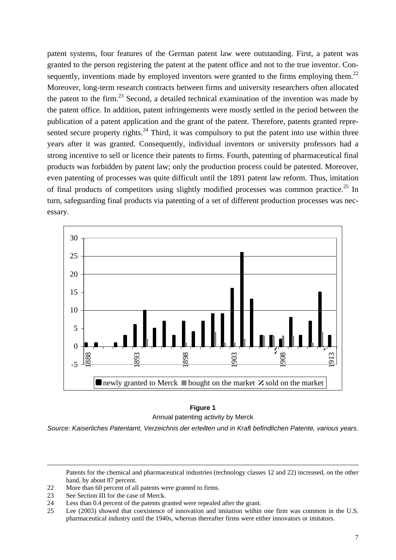patent systems, four features of the German patent law were outstanding. First, a patent was granted to the person registering the patent at the patent office and not to the true inventor. Consequently, inventions made by employed inventors were granted to the firms employing them.<sup>22</sup> Moreover, long-term research contracts between firms and university researchers often allocated the patent to the firm.<sup>23</sup> Second, a detailed technical examination of the invention was made by the patent office. In addition, patent infringements were mostly settled in the period between the publication of a patent application and the grant of the patent. Therefore, patents granted represented secure property rights.<sup>24</sup> Third, it was compulsory to put the patent into use within three years after it was granted. Consequently, individual inventors or university professors had a strong incentive to sell or licence their patents to firms. Fourth, patenting of pharmaceutical final products was forbidden by patent law; only the production process could be patented. Moreover, even patenting of processes was quite difficult until the 1891 patent law reform. Thus, imitation of final products of competitors using slightly modified processes was common practice.<sup>25</sup> In turn, safeguarding final products via patenting of a set of different production processes was necessary.



## **Figure 1**  Annual patenting activity by Merck

*Source: Kaiserliches Patentamt, Verzeichnis der erteilten und in Kraft befindlichen Patente, various years.* 

Patents for the chemical and pharmaceutical industries (technology classes 12 and 22) increased, on the other hand, by about 87 percent.

- 22 More than 60 percent of all patents were granted to firms.
- 23 See Section III for the case of Merck.

- 24 Less than 0.4 percent of the patents granted were repealed after the grant.<br>25 Lee (2003) showed that coexistence of innovation and imitation within
- Lee (2003) showed that coexistence of innovation and imitation within one firm was common in the U.S. pharmaceutical industry until the 1940s, whereas thereafter firms were either innovators or imitators.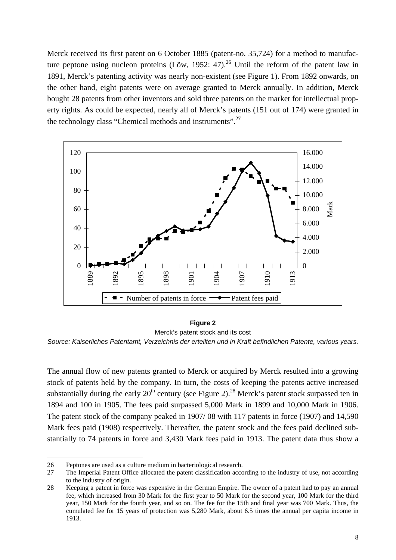Merck received its first patent on 6 October 1885 (patent-no. 35,724) for a method to manufacture peptone using nucleon proteins (Löw, 1952: 47).<sup>26</sup> Until the reform of the patent law in 1891, Merck's patenting activity was nearly non-existent (see Figure 1). From 1892 onwards, on the other hand, eight patents were on average granted to Merck annually. In addition, Merck bought 28 patents from other inventors and sold three patents on the market for intellectual property rights. As could be expected, nearly all of Merck's patents (151 out of 174) were granted in the technology class "Chemical methods and instruments".<sup>27</sup>



#### **Figure 2**

Merck's patent stock and its cost

*Source: Kaiserliches Patentamt, Verzeichnis der erteilten und in Kraft befindlichen Patente, various years.* 

The annual flow of new patents granted to Merck or acquired by Merck resulted into a growing stock of patents held by the company. In turn, the costs of keeping the patents active increased substantially during the early  $20^{th}$  century (see Figure 2).<sup>28</sup> Merck's patent stock surpassed ten in 1894 and 100 in 1905. The fees paid surpassed 5,000 Mark in 1899 and 10,000 Mark in 1906. The patent stock of the company peaked in 1907/ 08 with 117 patents in force (1907) and 14,590 Mark fees paid (1908) respectively. Thereafter, the patent stock and the fees paid declined substantially to 74 patents in force and 3,430 Mark fees paid in 1913. The patent data thus show a

<sup>26</sup> Peptones are used as a culture medium in bacteriological research.

<sup>27</sup> The Imperial Patent Office allocated the patent classification according to the industry of use, not according to the industry of origin.

<sup>28</sup> Keeping a patent in force was expensive in the German Empire. The owner of a patent had to pay an annual fee, which increased from 30 Mark for the first year to 50 Mark for the second year, 100 Mark for the third year, 150 Mark for the fourth year, and so on. The fee for the 15th and final year was 700 Mark. Thus, the cumulated fee for 15 years of protection was 5,280 Mark, about 6.5 times the annual per capita income in 1913.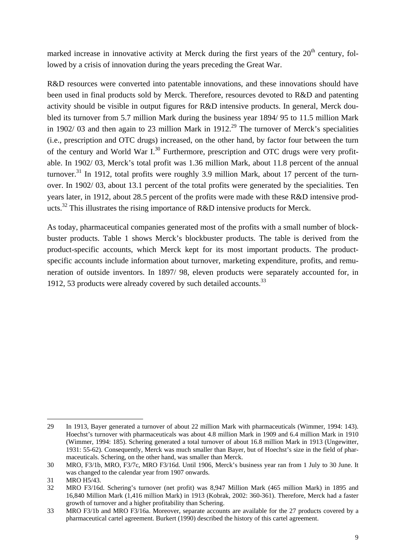marked increase in innovative activity at Merck during the first years of the  $20<sup>th</sup>$  century, followed by a crisis of innovation during the years preceding the Great War.

R&D resources were converted into patentable innovations, and these innovations should have been used in final products sold by Merck. Therefore, resources devoted to R&D and patenting activity should be visible in output figures for R&D intensive products. In general, Merck doubled its turnover from 5.7 million Mark during the business year 1894/ 95 to 11.5 million Mark in 1902/ 03 and then again to 23 million Mark in 1912.<sup>29</sup> The turnover of Merck's specialities (i.e., prescription and OTC drugs) increased, on the other hand, by factor four between the turn of the century and World War  $I^{30}$  Furthermore, prescription and OTC drugs were very profitable. In 1902/ 03, Merck's total profit was 1.36 million Mark, about 11.8 percent of the annual turnover.<sup>31</sup> In 1912, total profits were roughly 3.9 million Mark, about 17 percent of the turnover. In 1902/ 03, about 13.1 percent of the total profits were generated by the specialities. Ten years later, in 1912, about 28.5 percent of the profits were made with these R&D intensive products.<sup>32</sup> This illustrates the rising importance of R&D intensive products for Merck.

As today, pharmaceutical companies generated most of the profits with a small number of blockbuster products. Table 1 shows Merck's blockbuster products. The table is derived from the product-specific accounts, which Merck kept for its most important products. The productspecific accounts include information about turnover, marketing expenditure, profits, and remuneration of outside inventors. In 1897/ 98, eleven products were separately accounted for, in 1912, 53 products were already covered by such detailed accounts.  $33$ 

j 29 In 1913, Bayer generated a turnover of about 22 million Mark with pharmaceuticals (Wimmer, 1994: 143). Hoechst's turnover with pharmaceuticals was about 4.8 million Mark in 1909 and 6.4 million Mark in 1910 (Wimmer, 1994: 185). Schering generated a total turnover of about 16.8 million Mark in 1913 (Ungewitter, 1931: 55-62). Consequently, Merck was much smaller than Bayer, but of Hoechst's size in the field of pharmaceuticals. Schering, on the other hand, was smaller than Merck.

<sup>30</sup> MRO, F3/1b, MRO, F3/7c, MRO F3/16d. Until 1906, Merck's business year ran from 1 July to 30 June. It was changed to the calendar year from 1907 onwards.

<sup>31</sup> MRO H5/43.

<sup>32</sup> MRO F3/16d. Schering's turnover (net profit) was 8,947 Million Mark (465 million Mark) in 1895 and 16,840 Million Mark (1,416 million Mark) in 1913 (Kobrak, 2002: 360-361). Therefore, Merck had a faster growth of turnover and a higher profitability than Schering.

<sup>33</sup> MRO F3/1b and MRO F3/16a. Moreover, separate accounts are available for the 27 products covered by a pharmaceutical cartel agreement. Burkert (1990) described the history of this cartel agreement.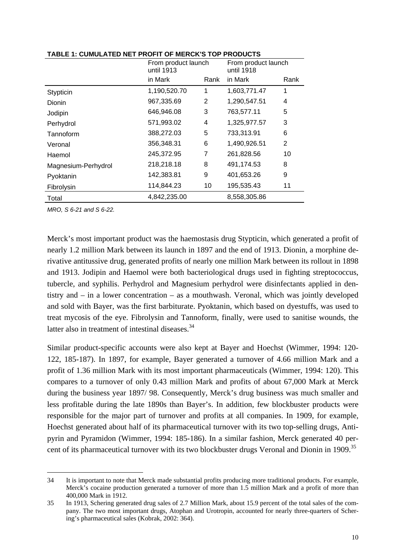|                     | From product launch<br>until 1913 |                | From product launch<br>until 1918 |                |
|---------------------|-----------------------------------|----------------|-----------------------------------|----------------|
|                     | in Mark                           | Rank           | in Mark                           | Rank           |
| Stypticin           | 1,190,520.70                      | 1              | 1,603,771.47                      | 1              |
| Dionin              | 967,335.69                        | $\overline{2}$ | 1,290,547.51                      | 4              |
| Jodipin             | 646,946.08                        | 3              | 763,577.11                        | 5              |
| Perhydrol           | 571,993.02                        | 4              | 1,325,977.57                      | 3              |
| Tannoform           | 388,272.03                        | 5              | 733,313.91                        | 6              |
| Veronal             | 356,348.31                        | 6              | 1,490,926.51                      | $\overline{2}$ |
| Haemol              | 245,372.95                        | 7              | 261,828.56                        | 10             |
| Magnesium-Perhydrol | 218,218.18                        | 8              | 491,174.53                        | 8              |
| Pyoktanin           | 142,383.81                        | 9              | 401,653.26                        | 9              |
| Fibrolysin          | 114,844.23                        | 10             | 195,535.43                        | 11             |
| Total               | 4,842,235.00                      |                | 8,558,305.86                      |                |

**TABLE 1: CUMULATED NET PROFIT OF MERCK'S TOP PRODUCTS** 

*MRO, S 6-21 and S 6-22.* 

Merck's most important product was the haemostasis drug Stypticin, which generated a profit of nearly 1.2 million Mark between its launch in 1897 and the end of 1913. Dionin, a morphine derivative antitussive drug, generated profits of nearly one million Mark between its rollout in 1898 and 1913. Jodipin and Haemol were both bacteriological drugs used in fighting streptococcus, tubercle, and syphilis. Perhydrol and Magnesium perhydrol were disinfectants applied in dentistry and – in a lower concentration – as a mouthwash. Veronal, which was jointly developed and sold with Bayer, was the first barbiturate. Pyoktanin, which based on dyestuffs, was used to treat mycosis of the eye. Fibrolysin and Tannoform, finally, were used to sanitise wounds, the latter also in treatment of intestinal diseases.<sup>34</sup>

Similar product-specific accounts were also kept at Bayer and Hoechst (Wimmer, 1994: 120- 122, 185-187). In 1897, for example, Bayer generated a turnover of 4.66 million Mark and a profit of 1.36 million Mark with its most important pharmaceuticals (Wimmer, 1994: 120). This compares to a turnover of only 0.43 million Mark and profits of about 67,000 Mark at Merck during the business year 1897/ 98. Consequently, Merck's drug business was much smaller and less profitable during the late 1890s than Bayer's. In addition, few blockbuster products were responsible for the major part of turnover and profits at all companies. In 1909, for example, Hoechst generated about half of its pharmaceutical turnover with its two top-selling drugs, Antipyrin and Pyramidon (Wimmer, 1994: 185-186). In a similar fashion, Merck generated 40 percent of its pharmaceutical turnover with its two blockbuster drugs Veronal and Dionin in 1909.<sup>35</sup>

 $\overline{a}$ 34 It is important to note that Merck made substantial profits producing more traditional products. For example, Merck's cocaine production generated a turnover of more than 1.5 million Mark and a profit of more than 400,000 Mark in 1912.

<sup>35</sup> In 1913, Schering generated drug sales of 2.7 Million Mark, about 15.9 percent of the total sales of the company. The two most important drugs, Atophan and Urotropin, accounted for nearly three-quarters of Schering's pharmaceutical sales (Kobrak, 2002: 364).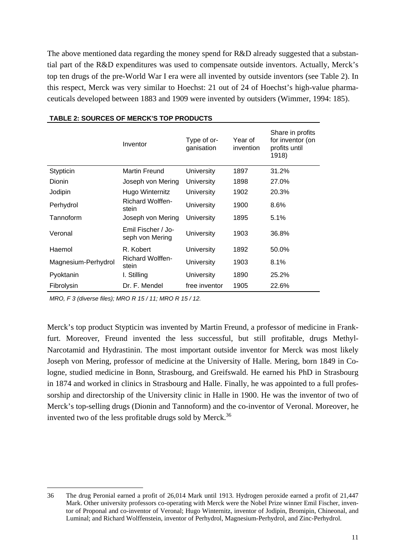The above mentioned data regarding the money spend for R&D already suggested that a substantial part of the R&D expenditures was used to compensate outside inventors. Actually, Merck's top ten drugs of the pre-World War I era were all invented by outside inventors (see Table 2). In this respect, Merck was very similar to Hoechst: 21 out of 24 of Hoechst's high-value pharmaceuticals developed between 1883 and 1909 were invented by outsiders (Wimmer, 1994: 185).

|                     | Inventor                              | Type of or-<br>ganisation | Year of<br>invention | Share in profits<br>for inventor (on<br>profits until<br>1918) |
|---------------------|---------------------------------------|---------------------------|----------------------|----------------------------------------------------------------|
| Stypticin           | <b>Martin Freund</b>                  | University                | 1897                 | 31.2%                                                          |
| Dionin              | Joseph von Mering                     | University                | 1898                 | 27.0%                                                          |
| Jodipin             | Hugo Winternitz                       | University                | 1902                 | 20.3%                                                          |
| Perhydrol           | <b>Richard Wolffen-</b><br>stein      | University                | 1900                 | 8.6%                                                           |
| Tannoform           | Joseph von Mering                     | University                | 1895                 | 5.1%                                                           |
| Veronal             | Emil Fischer / Jo-<br>seph von Mering | University                | 1903                 | 36.8%                                                          |
| Haemol              | R. Kobert                             | University                | 1892                 | 50.0%                                                          |
| Magnesium-Perhydrol | <b>Richard Wolffen-</b><br>stein      | University                | 1903                 | 8.1%                                                           |
| Pyoktanin           | I. Stilling                           | University                | 1890                 | 25.2%                                                          |
| Fibrolysin          | Dr. F. Mendel                         | free inventor             | 1905                 | 22.6%                                                          |

## **TABLE 2: SOURCES OF MERCK'S TOP PRODUCTS**

*MRO, F 3 (diverse files); MRO R 15 / 11; MRO R 15 / 12.* 

j

Merck's top product Stypticin was invented by Martin Freund, a professor of medicine in Frankfurt. Moreover, Freund invented the less successful, but still profitable, drugs Methyl-Narcotamid and Hydrastinin. The most important outside inventor for Merck was most likely Joseph von Mering, professor of medicine at the University of Halle. Mering, born 1849 in Cologne, studied medicine in Bonn, Strasbourg, and Greifswald. He earned his PhD in Strasbourg in 1874 and worked in clinics in Strasbourg and Halle. Finally, he was appointed to a full professorship and directorship of the University clinic in Halle in 1900. He was the inventor of two of Merck's top-selling drugs (Dionin and Tannoform) and the co-inventor of Veronal. Moreover, he invented two of the less profitable drugs sold by Merck.<sup>36</sup>

<sup>36</sup> The drug Peronial earned a profit of 26,014 Mark until 1913. Hydrogen peroxide earned a profit of 21,447 Mark. Other university professors co-operating with Merck were the Nobel Prize winner Emil Fischer, inventor of Proponal and co-inventor of Veronal; Hugo Winternitz, inventor of Jodipin, Bromipin, Chineonal, and Luminal; and Richard Wolffenstein, inventor of Perhydrol, Magnesium-Perhydrol, and Zinc-Perhydrol.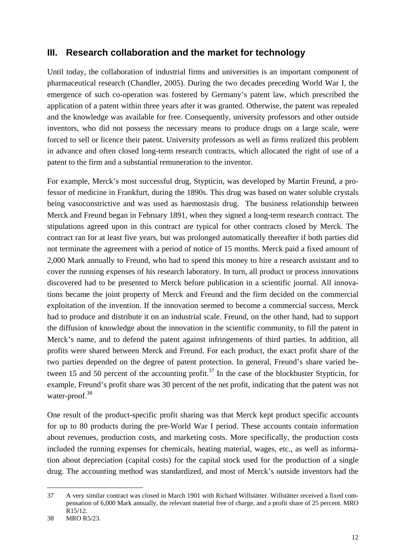## **III. Research collaboration and the market for technology**

Until today, the collaboration of industrial firms and universities is an important component of pharmaceutical research (Chandler, 2005). During the two decades preceding World War I, the emergence of such co-operation was fostered by Germany's patent law, which prescribed the application of a patent within three years after it was granted. Otherwise, the patent was repealed and the knowledge was available for free. Consequently, university professors and other outside inventors, who did not possess the necessary means to produce drugs on a large scale, were forced to sell or licence their patent. University professors as well as firms realized this problem in advance and often closed long-term research contracts, which allocated the right of use of a patent to the firm and a substantial remuneration to the inventor.

For example, Merck's most successful drug, Stypticin, was developed by Martin Freund, a professor of medicine in Frankfurt, during the 1890s. This drug was based on water soluble crystals being vasoconstrictive and was used as haemostasis drug. The business relationship between Merck and Freund began in February 1891, when they signed a long-term research contract. The stipulations agreed upon in this contract are typical for other contracts closed by Merck. The contract ran for at least five years, but was prolonged automatically thereafter if both parties did not terminate the agreement with a period of notice of 15 months. Merck paid a fixed amount of 2,000 Mark annually to Freund, who had to spend this money to hire a research assistant and to cover the running expenses of his research laboratory. In turn, all product or process innovations discovered had to be presented to Merck before publication in a scientific journal. All innovations became the joint property of Merck and Freund and the firm decided on the commercial exploitation of the invention. If the innovation seemed to become a commercial success, Merck had to produce and distribute it on an industrial scale. Freund, on the other hand, had to support the diffusion of knowledge about the innovation in the scientific community, to fill the patent in Merck's name, and to defend the patent against infringements of third parties. In addition, all profits were shared between Merck and Freund. For each product, the exact profit share of the two parties depended on the degree of patent protection. In general, Freund's share varied between 15 and 50 percent of the accounting profit.<sup>37</sup> In the case of the blockbuster Stypticin, for example, Freund's profit share was 30 percent of the net profit, indicating that the patent was not water-proof.<sup>38</sup>

One result of the product-specific profit sharing was that Merck kept product specific accounts for up to 80 products during the pre-World War I period. These accounts contain information about revenues, production costs, and marketing costs. More specifically, the production costs included the running expenses for chemicals, heating material, wages, etc., as well as information about depreciation (capital costs) for the capital stock used for the production of a single drug. The accounting method was standardized, and most of Merck's outside inventors had the

j 37 A very similar contract was closed in March 1901 with Richard Willstätter. Willstätter received a fixed compensation of 6,000 Mark annually, the relevant material free of charge, and a profit share of 25 percent. MRO R15/12.

<sup>38</sup> MRO R5/23.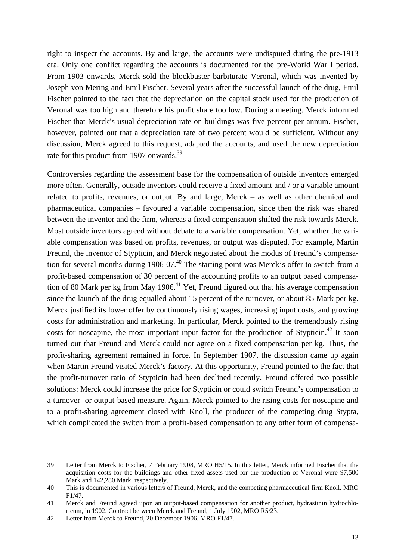right to inspect the accounts. By and large, the accounts were undisputed during the pre-1913 era. Only one conflict regarding the accounts is documented for the pre-World War I period. From 1903 onwards, Merck sold the blockbuster barbiturate Veronal, which was invented by Joseph von Mering and Emil Fischer. Several years after the successful launch of the drug, Emil Fischer pointed to the fact that the depreciation on the capital stock used for the production of Veronal was too high and therefore his profit share too low. During a meeting, Merck informed Fischer that Merck's usual depreciation rate on buildings was five percent per annum. Fischer, however, pointed out that a depreciation rate of two percent would be sufficient. Without any discussion, Merck agreed to this request, adapted the accounts, and used the new depreciation rate for this product from 1907 onwards.<sup>39</sup>

Controversies regarding the assessment base for the compensation of outside inventors emerged more often. Generally, outside inventors could receive a fixed amount and / or a variable amount related to profits, revenues, or output. By and large, Merck – as well as other chemical and pharmaceutical companies – favoured a variable compensation, since then the risk was shared between the inventor and the firm, whereas a fixed compensation shifted the risk towards Merck. Most outside inventors agreed without debate to a variable compensation. Yet, whether the variable compensation was based on profits, revenues, or output was disputed. For example, Martin Freund, the inventor of Stypticin, and Merck negotiated about the modus of Freund's compensation for several months during 1906-07.<sup>40</sup> The starting point was Merck's offer to switch from a profit-based compensation of 30 percent of the accounting profits to an output based compensation of 80 Mark per kg from May 1906.<sup>41</sup> Yet, Freund figured out that his average compensation since the launch of the drug equalled about 15 percent of the turnover, or about 85 Mark per kg. Merck justified its lower offer by continuously rising wages, increasing input costs, and growing costs for administration and marketing. In particular, Merck pointed to the tremendously rising costs for noscapine, the most important input factor for the production of Stypticin.<sup>42</sup> It soon turned out that Freund and Merck could not agree on a fixed compensation per kg. Thus, the profit-sharing agreement remained in force. In September 1907, the discussion came up again when Martin Freund visited Merck's factory. At this opportunity, Freund pointed to the fact that the profit-turnover ratio of Stypticin had been declined recently. Freund offered two possible solutions: Merck could increase the price for Stypticin or could switch Freund's compensation to a turnover- or output-based measure. Again, Merck pointed to the rising costs for noscapine and to a profit-sharing agreement closed with Knoll, the producer of the competing drug Stypta, which complicated the switch from a profit-based compensation to any other form of compensa-

<sup>39</sup> Letter from Merck to Fischer, 7 February 1908, MRO H5/15. In this letter, Merck informed Fischer that the acquisition costs for the buildings and other fixed assets used for the production of Veronal were 97,500 Mark and 142,280 Mark, respectively.

<sup>40</sup> This is documented in various letters of Freund, Merck, and the competing pharmaceutical firm Knoll. MRO F1/47.

<sup>41</sup> Merck and Freund agreed upon an output-based compensation for another product, hydrastinin hydrochloricum, in 1902. Contract between Merck and Freund, 1 July 1902, MRO R5/23.

<sup>42</sup> Letter from Merck to Freund, 20 December 1906. MRO F1/47.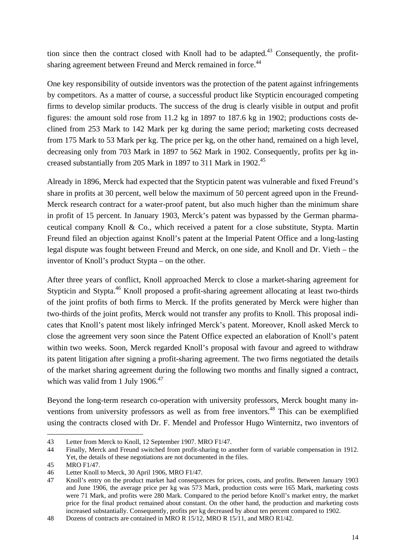tion since then the contract closed with Knoll had to be adapted.<sup>43</sup> Consequently, the profitsharing agreement between Freund and Merck remained in force.<sup>44</sup>

One key responsibility of outside inventors was the protection of the patent against infringements by competitors. As a matter of course, a successful product like Stypticin encouraged competing firms to develop similar products. The success of the drug is clearly visible in output and profit figures: the amount sold rose from 11.2 kg in 1897 to 187.6 kg in 1902; productions costs declined from 253 Mark to 142 Mark per kg during the same period; marketing costs decreased from 175 Mark to 53 Mark per kg. The price per kg, on the other hand, remained on a high level, decreasing only from 703 Mark in 1897 to 562 Mark in 1902. Consequently, profits per kg increased substantially from 205 Mark in 1897 to 311 Mark in 1902.<sup>45</sup>

Already in 1896, Merck had expected that the Stypticin patent was vulnerable and fixed Freund's share in profits at 30 percent, well below the maximum of 50 percent agreed upon in the Freund-Merck research contract for a water-proof patent, but also much higher than the minimum share in profit of 15 percent. In January 1903, Merck's patent was bypassed by the German pharmaceutical company Knoll & Co., which received a patent for a close substitute, Stypta. Martin Freund filed an objection against Knoll's patent at the Imperial Patent Office and a long-lasting legal dispute was fought between Freund and Merck, on one side, and Knoll and Dr. Vieth – the inventor of Knoll's product Stypta – on the other.

After three years of conflict, Knoll approached Merck to close a market-sharing agreement for Stypticin and Stypta.<sup>46</sup> Knoll proposed a profit-sharing agreement allocating at least two-thirds of the joint profits of both firms to Merck. If the profits generated by Merck were higher than two-thirds of the joint profits, Merck would not transfer any profits to Knoll. This proposal indicates that Knoll's patent most likely infringed Merck's patent. Moreover, Knoll asked Merck to close the agreement very soon since the Patent Office expected an elaboration of Knoll's patent within two weeks. Soon, Merck regarded Knoll's proposal with favour and agreed to withdraw its patent litigation after signing a profit-sharing agreement. The two firms negotiated the details of the market sharing agreement during the following two months and finally signed a contract, which was valid from 1 July  $1906.<sup>47</sup>$ 

Beyond the long-term research co-operation with university professors, Merck bought many inventions from university professors as well as from free inventors.<sup>48</sup> This can be exemplified using the contracts closed with Dr. F. Mendel and Professor Hugo Winternitz, two inventors of

<sup>43</sup> Letter from Merck to Knoll, 12 September 1907. MRO F1/47.

<sup>44</sup> Finally, Merck and Freund switched from profit-sharing to another form of variable compensation in 1912. Yet, the details of these negotiations are not documented in the files.

<sup>45</sup> MRO F1/47.

<sup>46</sup> Letter Knoll to Merck, 30 April 1906, MRO F1/47.

<sup>47</sup> Knoll's entry on the product market had consequences for prices, costs, and profits. Between January 1903 and June 1906, the average price per kg was 573 Mark, production costs were 165 Mark, marketing costs were 71 Mark, and profits were 280 Mark. Compared to the period before Knoll's market entry, the market price for the final product remained about constant. On the other hand, the production and marketing costs increased substantially. Consequently, profits per kg decreased by about ten percent compared to 1902.

<sup>48</sup> Dozens of contracts are contained in MRO R 15/12, MRO R 15/11, and MRO R1/42.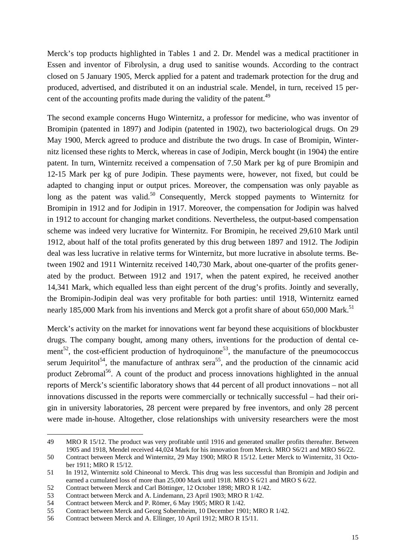Merck's top products highlighted in Tables 1 and 2. Dr. Mendel was a medical practitioner in Essen and inventor of Fibrolysin, a drug used to sanitise wounds. According to the contract closed on 5 January 1905, Merck applied for a patent and trademark protection for the drug and produced, advertised, and distributed it on an industrial scale. Mendel, in turn, received 15 percent of the accounting profits made during the validity of the patent.<sup>49</sup>

The second example concerns Hugo Winternitz, a professor for medicine, who was inventor of Bromipin (patented in 1897) and Jodipin (patented in 1902), two bacteriological drugs. On 29 May 1900, Merck agreed to produce and distribute the two drugs. In case of Bromipin, Winternitz licensed these rights to Merck, whereas in case of Jodipin, Merck bought (in 1904) the entire patent. In turn, Winternitz received a compensation of 7.50 Mark per kg of pure Bromipin and 12-15 Mark per kg of pure Jodipin. These payments were, however, not fixed, but could be adapted to changing input or output prices. Moreover, the compensation was only payable as long as the patent was valid.<sup>50</sup> Consequently, Merck stopped payments to Winternitz for Bromipin in 1912 and for Jodipin in 1917. Moreover, the compensation for Jodipin was halved in 1912 to account for changing market conditions. Nevertheless, the output-based compensation scheme was indeed very lucrative for Winternitz. For Bromipin, he received 29,610 Mark until 1912, about half of the total profits generated by this drug between 1897 and 1912. The Jodipin deal was less lucrative in relative terms for Winternitz, but more lucrative in absolute terms. Between 1902 and 1911 Winternitz received 140,730 Mark, about one-quarter of the profits generated by the product. Between 1912 and 1917, when the patent expired, he received another 14,341 Mark, which equalled less than eight percent of the drug's profits. Jointly and severally, the Bromipin-Jodipin deal was very profitable for both parties: until 1918, Winternitz earned nearly 185,000 Mark from his inventions and Merck got a profit share of about 650,000 Mark.<sup>51</sup>

Merck's activity on the market for innovations went far beyond these acquisitions of blockbuster drugs. The company bought, among many others, inventions for the production of dental cement<sup>52</sup>, the cost-efficient production of hydroquinone<sup>53</sup>, the manufacture of the pneumococcus serum Jequiritol<sup>54</sup>, the manufacture of anthrax sera<sup>55</sup>, and the production of the cinnamic acid product Zebromal<sup>56</sup>. A count of the product and process innovations highlighted in the annual reports of Merck's scientific laboratory shows that 44 percent of all product innovations – not all innovations discussed in the reports were commercially or technically successful – had their origin in university laboratories, 28 percent were prepared by free inventors, and only 28 percent were made in-house. Altogether, close relationships with university researchers were the most

<sup>49</sup> MRO R 15/12. The product was very profitable until 1916 and generated smaller profits thereafter. Between 1905 and 1918, Mendel received 44,024 Mark for his innovation from Merck. MRO S6/21 and MRO S6/22.

<sup>50</sup> Contract between Merck and Winternitz, 29 May 1900; MRO R 15/12. Letter Merck to Winternitz, 31 October 1911; MRO R 15/12.

<sup>51</sup> In 1912, Winternitz sold Chineonal to Merck. This drug was less successful than Bromipin and Jodipin and earned a cumulated loss of more than 25,000 Mark until 1918. MRO S 6/21 and MRO S 6/22.

<sup>52</sup> Contract between Merck and Carl Böttinger, 12 October 1898; MRO R 1/42.

<sup>53</sup> Contract between Merck and A. Lindemann, 23 April 1903; MRO R 1/42.

<sup>54</sup> Contract between Merck and P. Römer, 6 May 1905; MRO R 1/42.

<sup>55</sup> Contract between Merck and Georg Sobernheim, 10 December 1901; MRO R 1/42.

<sup>56</sup> Contract between Merck and A. Ellinger, 10 April 1912; MRO R 15/11.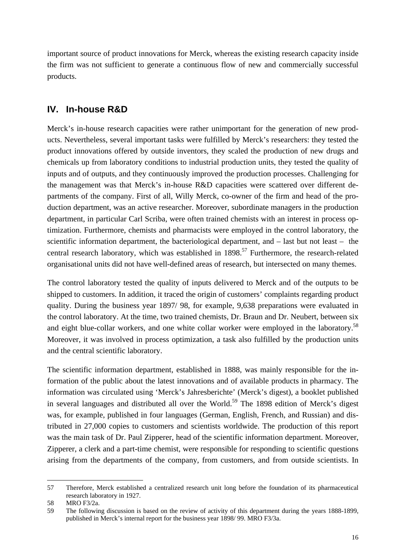important source of product innovations for Merck, whereas the existing research capacity inside the firm was not sufficient to generate a continuous flow of new and commercially successful products.

## **IV. In-house R&D**

Merck's in-house research capacities were rather unimportant for the generation of new products. Nevertheless, several important tasks were fulfilled by Merck's researchers: they tested the product innovations offered by outside inventors, they scaled the production of new drugs and chemicals up from laboratory conditions to industrial production units, they tested the quality of inputs and of outputs, and they continuously improved the production processes. Challenging for the management was that Merck's in-house R&D capacities were scattered over different departments of the company. First of all, Willy Merck, co-owner of the firm and head of the production department, was an active researcher. Moreover, subordinate managers in the production department, in particular Carl Scriba, were often trained chemists with an interest in process optimization. Furthermore, chemists and pharmacists were employed in the control laboratory, the scientific information department, the bacteriological department, and – last but not least – the central research laboratory, which was established in  $1898$ <sup>57</sup> Furthermore, the research-related organisational units did not have well-defined areas of research, but intersected on many themes.

The control laboratory tested the quality of inputs delivered to Merck and of the outputs to be shipped to customers. In addition, it traced the origin of customers' complaints regarding product quality. During the business year 1897/ 98, for example, 9,638 preparations were evaluated in the control laboratory. At the time, two trained chemists, Dr. Braun and Dr. Neubert, between six and eight blue-collar workers, and one white collar worker were employed in the laboratory.<sup>58</sup> Moreover, it was involved in process optimization, a task also fulfilled by the production units and the central scientific laboratory.

The scientific information department, established in 1888, was mainly responsible for the information of the public about the latest innovations and of available products in pharmacy. The information was circulated using 'Merck's Jahresberichte' (Merck's digest), a booklet published in several languages and distributed all over the World.<sup>59</sup> The 1898 edition of Merck's digest was, for example, published in four languages (German, English, French, and Russian) and distributed in 27,000 copies to customers and scientists worldwide. The production of this report was the main task of Dr. Paul Zipperer, head of the scientific information department. Moreover, Zipperer, a clerk and a part-time chemist, were responsible for responding to scientific questions arising from the departments of the company, from customers, and from outside scientists. In

<sup>57</sup> Therefore, Merck established a centralized research unit long before the foundation of its pharmaceutical research laboratory in 1927.

<sup>58</sup> MRO F3/2a.

<sup>59</sup> The following discussion is based on the review of activity of this department during the years 1888-1899, published in Merck's internal report for the business year 1898/ 99. MRO F3/3a.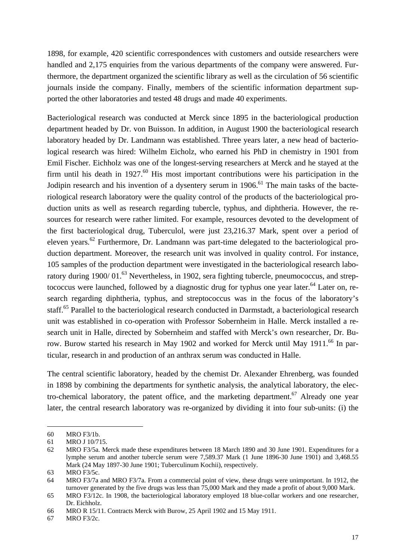1898, for example, 420 scientific correspondences with customers and outside researchers were handled and 2,175 enquiries from the various departments of the company were answered. Furthermore, the department organized the scientific library as well as the circulation of 56 scientific journals inside the company. Finally, members of the scientific information department supported the other laboratories and tested 48 drugs and made 40 experiments.

Bacteriological research was conducted at Merck since 1895 in the bacteriological production department headed by Dr. von Buisson. In addition, in August 1900 the bacteriological research laboratory headed by Dr. Landmann was established. Three years later, a new head of bacteriological research was hired: Wilhelm Eicholz, who earned his PhD in chemistry in 1901 from Emil Fischer. Eichholz was one of the longest-serving researchers at Merck and he stayed at the firm until his death in 1927. $^{60}$  His most important contributions were his participation in the Jodipin research and his invention of a dysentery serum in 1906.<sup>61</sup> The main tasks of the bacteriological research laboratory were the quality control of the products of the bacteriological production units as well as research regarding tubercle, typhus, and diphtheria. However, the resources for research were rather limited. For example, resources devoted to the development of the first bacteriological drug, Tuberculol, were just 23,216.37 Mark, spent over a period of eleven years.<sup>62</sup> Furthermore, Dr. Landmann was part-time delegated to the bacteriological production department. Moreover, the research unit was involved in quality control. For instance, 105 samples of the production department were investigated in the bacteriological research laboratory during 1900/01.<sup>63</sup> Nevertheless, in 1902, sera fighting tubercle, pneumococcus, and streptococcus were launched, followed by a diagnostic drug for typhus one year later.<sup>64</sup> Later on, research regarding diphtheria, typhus, and streptococcus was in the focus of the laboratory's staff.<sup>65</sup> Parallel to the bacteriological research conducted in Darmstadt, a bacteriological research unit was established in co-operation with Professor Sobernheim in Halle. Merck installed a research unit in Halle, directed by Sobernheim and staffed with Merck's own researcher, Dr. Burow. Burow started his research in May 1902 and worked for Merck until May 1911.<sup>66</sup> In particular, research in and production of an anthrax serum was conducted in Halle.

The central scientific laboratory, headed by the chemist Dr. Alexander Ehrenberg, was founded in 1898 by combining the departments for synthetic analysis, the analytical laboratory, the electro-chemical laboratory, the patent office, and the marketing department.<sup>67</sup> Already one year later, the central research laboratory was re-organized by dividing it into four sub-units: (i) the

<sup>60</sup> MRO F3/1b.

<sup>61</sup> MRO J 10/715.

<sup>62</sup> MRO F3/5a. Merck made these expenditures between 18 March 1890 and 30 June 1901. Expenditures for a lymphe serum and another tubercle serum were 7,589.37 Mark (1 June 1896-30 June 1901) and 3,468.55 Mark (24 May 1897-30 June 1901; Tuberculinum Kochii), respectively.

<sup>63</sup> MRO F3/5c.

<sup>64</sup> MRO F3/7a and MRO F3/7a. From a commercial point of view, these drugs were unimportant. In 1912, the turnover generated by the five drugs was less than 75,000 Mark and they made a profit of about 9,000 Mark.

<sup>65</sup> MRO F3/12c. In 1908, the bacteriological laboratory employed 18 blue-collar workers and one researcher, Dr. Eichholz.

<sup>66</sup> MRO R 15/11. Contracts Merck with Burow, 25 April 1902 and 15 May 1911.

<sup>67</sup> MRO F3/2c.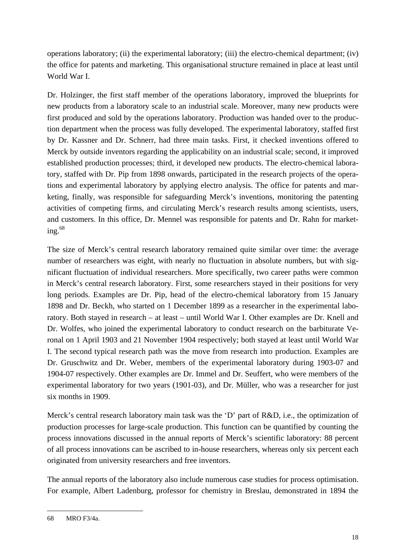operations laboratory; (ii) the experimental laboratory; (iii) the electro-chemical department; (iv) the office for patents and marketing. This organisational structure remained in place at least until World War I.

Dr. Holzinger, the first staff member of the operations laboratory, improved the blueprints for new products from a laboratory scale to an industrial scale. Moreover, many new products were first produced and sold by the operations laboratory. Production was handed over to the production department when the process was fully developed. The experimental laboratory, staffed first by Dr. Kassner and Dr. Schnerr, had three main tasks. First, it checked inventions offered to Merck by outside inventors regarding the applicability on an industrial scale; second, it improved established production processes; third, it developed new products. The electro-chemical laboratory, staffed with Dr. Pip from 1898 onwards, participated in the research projects of the operations and experimental laboratory by applying electro analysis. The office for patents and marketing, finally, was responsible for safeguarding Merck's inventions, monitoring the patenting activities of competing firms, and circulating Merck's research results among scientists, users, and customers. In this office, Dr. Mennel was responsible for patents and Dr. Rahn for marketing. $68$ 

The size of Merck's central research laboratory remained quite similar over time: the average number of researchers was eight, with nearly no fluctuation in absolute numbers, but with significant fluctuation of individual researchers. More specifically, two career paths were common in Merck's central research laboratory. First, some researchers stayed in their positions for very long periods. Examples are Dr. Pip, head of the electro-chemical laboratory from 15 January 1898 and Dr. Beckh, who started on 1 December 1899 as a researcher in the experimental laboratory. Both stayed in research – at least – until World War I. Other examples are Dr. Knell and Dr. Wolfes, who joined the experimental laboratory to conduct research on the barbiturate Veronal on 1 April 1903 and 21 November 1904 respectively; both stayed at least until World War I. The second typical research path was the move from research into production. Examples are Dr. Gruschwitz and Dr. Weber, members of the experimental laboratory during 1903-07 and 1904-07 respectively. Other examples are Dr. Immel and Dr. Seuffert, who were members of the experimental laboratory for two years (1901-03), and Dr. Müller, who was a researcher for just six months in 1909.

Merck's central research laboratory main task was the 'D' part of R&D, i.e., the optimization of production processes for large-scale production. This function can be quantified by counting the process innovations discussed in the annual reports of Merck's scientific laboratory: 88 percent of all process innovations can be ascribed to in-house researchers, whereas only six percent each originated from university researchers and free inventors.

The annual reports of the laboratory also include numerous case studies for process optimisation. For example, Albert Ladenburg, professor for chemistry in Breslau, demonstrated in 1894 the

<sup>68</sup> MRO F3/4a.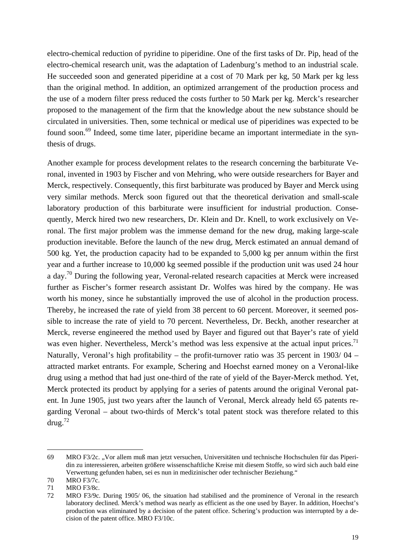electro-chemical reduction of pyridine to piperidine. One of the first tasks of Dr. Pip, head of the electro-chemical research unit, was the adaptation of Ladenburg's method to an industrial scale. He succeeded soon and generated piperidine at a cost of 70 Mark per kg, 50 Mark per kg less than the original method. In addition, an optimized arrangement of the production process and the use of a modern filter press reduced the costs further to 50 Mark per kg. Merck's researcher proposed to the management of the firm that the knowledge about the new substance should be circulated in universities. Then, some technical or medical use of piperidines was expected to be found soon.<sup>69</sup> Indeed, some time later, piperidine became an important intermediate in the synthesis of drugs.

Another example for process development relates to the research concerning the barbiturate Veronal, invented in 1903 by Fischer and von Mehring, who were outside researchers for Bayer and Merck, respectively. Consequently, this first barbiturate was produced by Bayer and Merck using very similar methods. Merck soon figured out that the theoretical derivation and small-scale laboratory production of this barbiturate were insufficient for industrial production. Consequently, Merck hired two new researchers, Dr. Klein and Dr. Knell, to work exclusively on Veronal. The first major problem was the immense demand for the new drug, making large-scale production inevitable. Before the launch of the new drug, Merck estimated an annual demand of 500 kg. Yet, the production capacity had to be expanded to 5,000 kg per annum within the first year and a further increase to 10,000 kg seemed possible if the production unit was used 24 hour a day.<sup>70</sup> During the following year, Veronal-related research capacities at Merck were increased further as Fischer's former research assistant Dr. Wolfes was hired by the company. He was worth his money, since he substantially improved the use of alcohol in the production process. Thereby, he increased the rate of yield from 38 percent to 60 percent. Moreover, it seemed possible to increase the rate of yield to 70 percent. Nevertheless, Dr. Beckh, another researcher at Merck, reverse engineered the method used by Bayer and figured out that Bayer's rate of yield was even higher. Nevertheless, Merck's method was less expensive at the actual input prices.<sup>71</sup> Naturally, Veronal's high profitability – the profit-turnover ratio was 35 percent in 1903/ 04 – attracted market entrants. For example, Schering and Hoechst earned money on a Veronal-like drug using a method that had just one-third of the rate of yield of the Bayer-Merck method. Yet, Merck protected its product by applying for a series of patents around the original Veronal patent. In June 1905, just two years after the launch of Veronal, Merck already held 65 patents regarding Veronal – about two-thirds of Merck's total patent stock was therefore related to this drug. $72$ 

<sup>69</sup> MRO F3/2c. "Vor allem muß man jetzt versuchen, Universitäten und technische Hochschulen für das Piperidin zu interessieren, arbeiten größere wissenschaftliche Kreise mit diesem Stoffe, so wird sich auch bald eine Verwertung gefunden haben, sei es nun in medizinischer oder technischer Beziehung."

<sup>70</sup> MRO F3/7c.

<sup>71</sup> MRO F3/8c.

<sup>72</sup> MRO F3/9c. During 1905/ 06, the situation had stabilised and the prominence of Veronal in the research laboratory declined. Merck's method was nearly as efficient as the one used by Bayer. In addition, Hoechst's production was eliminated by a decision of the patent office. Schering's production was interrupted by a decision of the patent office. MRO F3/10c.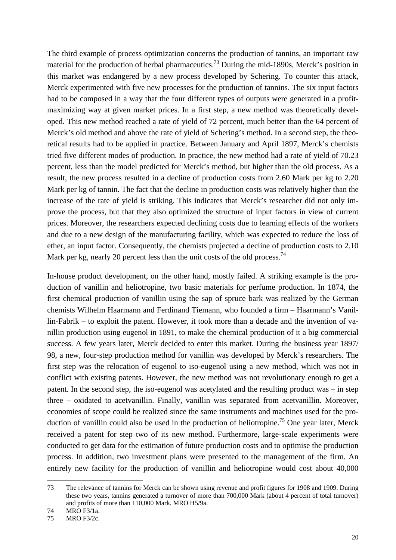The third example of process optimization concerns the production of tannins, an important raw material for the production of herbal pharmaceutics.<sup>73</sup> During the mid-1890s, Merck's position in this market was endangered by a new process developed by Schering. To counter this attack, Merck experimented with five new processes for the production of tannins. The six input factors had to be composed in a way that the four different types of outputs were generated in a profitmaximizing way at given market prices. In a first step, a new method was theoretically developed. This new method reached a rate of yield of 72 percent, much better than the 64 percent of Merck's old method and above the rate of yield of Schering's method. In a second step, the theoretical results had to be applied in practice. Between January and April 1897, Merck's chemists tried five different modes of production. In practice, the new method had a rate of yield of 70.23 percent, less than the model predicted for Merck's method, but higher than the old process. As a result, the new process resulted in a decline of production costs from 2.60 Mark per kg to 2.20 Mark per kg of tannin. The fact that the decline in production costs was relatively higher than the increase of the rate of yield is striking. This indicates that Merck's researcher did not only improve the process, but that they also optimized the structure of input factors in view of current prices. Moreover, the researchers expected declining costs due to learning effects of the workers and due to a new design of the manufacturing facility, which was expected to reduce the loss of ether, an input factor. Consequently, the chemists projected a decline of production costs to 2.10 Mark per kg, nearly 20 percent less than the unit costs of the old process.<sup>74</sup>

In-house product development, on the other hand, mostly failed. A striking example is the production of vanillin and heliotropine, two basic materials for perfume production. In 1874, the first chemical production of vanillin using the sap of spruce bark was realized by the German chemists Wilhelm Haarmann and Ferdinand Tiemann, who founded a firm – Haarmann's Vanillin-Fabrik – to exploit the patent. However, it took more than a decade and the invention of vanillin production using eugenol in 1891, to make the chemical production of it a big commercial success. A few years later, Merck decided to enter this market. During the business year 1897/ 98, a new, four-step production method for vanillin was developed by Merck's researchers. The first step was the relocation of eugenol to iso-eugenol using a new method, which was not in conflict with existing patents. However, the new method was not revolutionary enough to get a patent. In the second step, the iso-eugenol was acetylated and the resulting product was – in step three – oxidated to acetvanillin. Finally, vanillin was separated from acetvanillin. Moreover, economies of scope could be realized since the same instruments and machines used for the production of vanillin could also be used in the production of heliotropine.<sup>75</sup> One year later, Merck received a patent for step two of its new method. Furthermore, large-scale experiments were conducted to get data for the estimation of future production costs and to optimise the production process. In addition, two investment plans were presented to the management of the firm. An entirely new facility for the production of vanillin and heliotropine would cost about 40,000

<sup>73</sup> The relevance of tannins for Merck can be shown using revenue and profit figures for 1908 and 1909. During these two years, tannins generated a turnover of more than 700,000 Mark (about 4 percent of total turnover) and profits of more than 110,000 Mark. MRO H5/9a.

<sup>74</sup> MRO F3/1a.

<sup>75</sup> MRO F3/2c.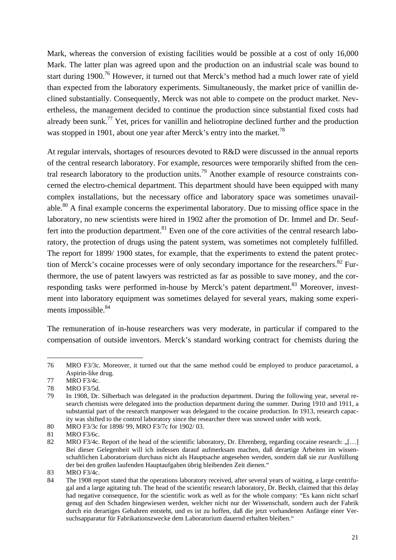Mark, whereas the conversion of existing facilities would be possible at a cost of only 16,000 Mark. The latter plan was agreed upon and the production on an industrial scale was bound to start during 1900.<sup>76</sup> However, it turned out that Merck's method had a much lower rate of yield than expected from the laboratory experiments. Simultaneously, the market price of vanillin declined substantially. Consequently, Merck was not able to compete on the product market. Nevertheless, the management decided to continue the production since substantial fixed costs had already been sunk.<sup>77</sup> Yet, prices for vanillin and heliotropine declined further and the production was stopped in 1901, about one year after Merck's entry into the market.<sup>78</sup>

At regular intervals, shortages of resources devoted to R&D were discussed in the annual reports of the central research laboratory. For example, resources were temporarily shifted from the central research laboratory to the production units.79 Another example of resource constraints concerned the electro-chemical department. This department should have been equipped with many complex installations, but the necessary office and laboratory space was sometimes unavailable.<sup>80</sup> A final example concerns the experimental laboratory. Due to missing office space in the laboratory, no new scientists were hired in 1902 after the promotion of Dr. Immel and Dr. Seuffert into the production department.<sup>81</sup> Even one of the core activities of the central research laboratory, the protection of drugs using the patent system, was sometimes not completely fulfilled. The report for 1899/ 1900 states, for example, that the experiments to extend the patent protection of Merck's cocaine processes were of only secondary importance for the researchers.<sup>82</sup> Furthermore, the use of patent lawyers was restricted as far as possible to save money, and the corresponding tasks were performed in-house by Merck's patent department.<sup>83</sup> Moreover, investment into laboratory equipment was sometimes delayed for several years, making some experiments impossible.<sup>84</sup>

The remuneration of in-house researchers was very moderate, in particular if compared to the compensation of outside inventors. Merck's standard working contract for chemists during the

<sup>76</sup> MRO F3/3c. Moreover, it turned out that the same method could be employed to produce paracetamol, a Aspirin-like drug.

<sup>77</sup> MRO F3/4c.

<sup>78</sup> MRO F3/5d.

<sup>79</sup> In 1908, Dr. Silberbach was delegated in the production department. During the following year, several research chemists were delegated into the production department during the summer. During 1910 and 1911, a substantial part of the research manpower was delegated to the cocaine production. In 1913, research capacity was shifted to the control laboratory since the researcher there was snowed under with work.

<sup>80</sup> MRO F3/3c for 1898/ 99, MRO F3/7c for 1902/ 03.

<sup>81</sup> MRO F3/6c.

<sup>82</sup> MRO F3/4c. Report of the head of the scientific laboratory, Dr. Ehrenberg, regarding cocaine research: [[…] Bei dieser Gelegenheit will ich indessen darauf aufmerksam machen, daß derartige Arbeiten im wissenschaftlichen Laboratorium durchaus nicht als Hauptsache angesehen werden, sondern daß sie zur Ausfüllung der bei den großen laufenden Hauptaufgaben übrig bleibenden Zeit dienen."

<sup>83</sup> MRO F3/4c.

<sup>84</sup> The 1908 report stated that the operations laboratory received, after several years of waiting, a large centrifugal and a large agitating tub. The head of the scientific research laboratory, Dr. Beckh, claimed that this delay had negative consequence, for the scientific work as well as for the whole company: "Es kann nicht scharf genug auf den Schaden hingewiesen werden, welcher nicht nur der Wissenschaft, sondern auch der Fabrik durch ein derartiges Gebahren entsteht, und es ist zu hoffen, daß die jetzt vorhandenen Anfänge einer Versuchsapparatur für Fabrikationszwecke dem Laboratorium dauernd erhalten bleiben."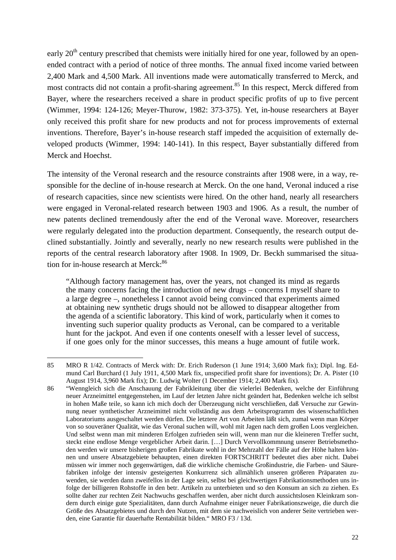early  $20<sup>th</sup>$  century prescribed that chemists were initially hired for one year, followed by an openended contract with a period of notice of three months. The annual fixed income varied between 2,400 Mark and 4,500 Mark. All inventions made were automatically transferred to Merck, and most contracts did not contain a profit-sharing agreement.<sup>85</sup> In this respect, Merck differed from Bayer, where the researchers received a share in product specific profits of up to five percent (Wimmer, 1994: 124-126; Meyer-Thurow, 1982: 373-375). Yet, in-house researchers at Bayer only received this profit share for new products and not for process improvements of external inventions. Therefore, Bayer's in-house research staff impeded the acquisition of externally developed products (Wimmer, 1994: 140-141). In this respect, Bayer substantially differed from Merck and Hoechst.

The intensity of the Veronal research and the resource constraints after 1908 were, in a way, responsible for the decline of in-house research at Merck. On the one hand, Veronal induced a rise of research capacities, since new scientists were hired. On the other hand, nearly all researchers were engaged in Veronal-related research between 1903 and 1906. As a result, the number of new patents declined tremendously after the end of the Veronal wave. Moreover, researchers were regularly delegated into the production department. Consequently, the research output declined substantially. Jointly and severally, nearly no new research results were published in the reports of the central research laboratory after 1908. In 1909, Dr. Beckh summarised the situation for in-house research at Merck:<sup>86</sup>

"Although factory management has, over the years, not changed its mind as regards the many concerns facing the introduction of new drugs – concerns I myself share to a large degree –, nonetheless I cannot avoid being convinced that experiments aimed at obtaining new synthetic drugs should not be allowed to disappear altogether from the agenda of a scientific laboratory. This kind of work, particularly when it comes to inventing such superior quality products as Veronal, can be compared to a veritable hunt for the jackpot. And even if one contents oneself with a lesser level of success, if one goes only for the minor successes, this means a huge amount of futile work.

<sup>85</sup> MRO R 1/42. Contracts of Merck with: Dr. Erich Ruderson (1 June 1914; 3,600 Mark fix); Dipl. Ing. Edmund Carl Burchard (1 July 1911, 4,500 Mark fix, unspecified profit share for inventions); Dr. A. Pister (10 August 1914, 3,960 Mark fix); Dr. Ludwig Wolter (1 December 1914; 2,400 Mark fix).

<sup>86 &</sup>quot;Wenngleich sich die Anschauung der Fabrikleitung über die vielerlei Bedenken, welche der Einführung neuer Arzneimittel entgegenstehen, im Lauf der letzten Jahre nicht geändert hat, Bedenken welche ich selbst in hohen Maße teile, so kann ich mich doch der Überzeugung nicht verschließen, daß Versuche zur Gewinnung neuer synthetischer Arzneimittel nicht vollständig aus dem Arbeitsprogramm des wissenschaftlichen Laboratoriums ausgeschaltet werden dürfen. Die letztere Art von Arbeiten läßt sich, zumal wenn man Körper von so souveräner Qualität, wie das Veronal suchen will, wohl mit Jagen nach dem großen Loos vergleichen. Und selbst wenn man mit minderen Erfolgen zufrieden sein will, wenn man nur die kleineren Treffer sucht, steckt eine endlose Menge vergeblicher Arbeit darin. […] Durch Vervollkommnung unserer Betriebsmethoden werden wir unsere bisherigen großen Fabrikate wohl in der Mehrzahl der Fälle auf der Höhe halten können und unsere Absatzgebiete behaupten, einen direkten FORTSCHRITT bedeutet dies aber nicht. Dabei müssen wir immer noch gegenwärtigen, daß die wirkliche chemische Großindustrie, die Farben- und Säurefabriken infolge der intensiv gesteigerten Konkurrenz sich allmählich unseren größeren Präparaten zuwenden, sie werden dann zweifellos in der Lage sein, selbst bei gleichwertigen Fabrikationsmethoden uns infolge der billigeren Rohstoffe in den betr. Artikeln zu unterbieten und so den Konsum an sich zu ziehen. Es sollte daher zur rechten Zeit Nachwuchs geschaffen werden, aber nicht durch aussichtslosen Kleinkram sondern durch einige gute Spezialitäten, dann durch Aufnahme einiger neuer Fabrikationszweige, die durch die Größe des Absatzgebietes und durch den Nutzen, mit dem sie nachweislich von anderer Seite vertrieben werden, eine Garantie für dauerhafte Rentabilität bilden." MRO F3 / 13d.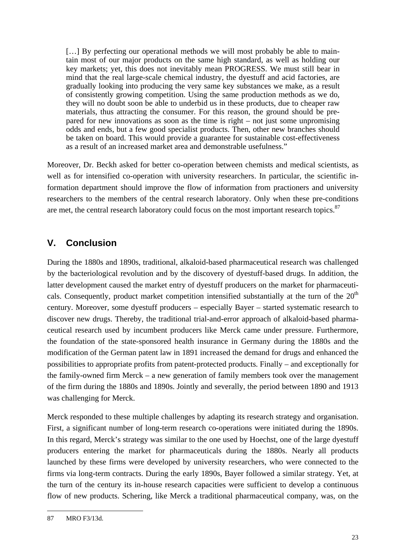[...] By perfecting our operational methods we will most probably be able to maintain most of our major products on the same high standard, as well as holding our key markets; yet, this does not inevitably mean PROGRESS. We must still bear in mind that the real large-scale chemical industry, the dyestuff and acid factories, are gradually looking into producing the very same key substances we make, as a result of consistently growing competition. Using the same production methods as we do, they will no doubt soon be able to underbid us in these products, due to cheaper raw materials, thus attracting the consumer. For this reason, the ground should be prepared for new innovations as soon as the time is right – not just some unpromising odds and ends, but a few good specialist products. Then, other new branches should be taken on board. This would provide a guarantee for sustainable cost-effectiveness as a result of an increased market area and demonstrable usefulness."

Moreover, Dr. Beckh asked for better co-operation between chemists and medical scientists, as well as for intensified co-operation with university researchers. In particular, the scientific information department should improve the flow of information from practioners and university researchers to the members of the central research laboratory. Only when these pre-conditions are met, the central research laboratory could focus on the most important research topics.<sup>87</sup>

## **V. Conclusion**

During the 1880s and 1890s, traditional, alkaloid-based pharmaceutical research was challenged by the bacteriological revolution and by the discovery of dyestuff-based drugs. In addition, the latter development caused the market entry of dyestuff producers on the market for pharmaceuticals. Consequently, product market competition intensified substantially at the turn of the  $20<sup>th</sup>$ century. Moreover, some dyestuff producers – especially Bayer – started systematic research to discover new drugs. Thereby, the traditional trial-and-error approach of alkaloid-based pharmaceutical research used by incumbent producers like Merck came under pressure. Furthermore, the foundation of the state-sponsored health insurance in Germany during the 1880s and the modification of the German patent law in 1891 increased the demand for drugs and enhanced the possibilities to appropriate profits from patent-protected products. Finally – and exceptionally for the family-owned firm Merck – a new generation of family members took over the management of the firm during the 1880s and 1890s. Jointly and severally, the period between 1890 and 1913 was challenging for Merck.

Merck responded to these multiple challenges by adapting its research strategy and organisation. First, a significant number of long-term research co-operations were initiated during the 1890s. In this regard, Merck's strategy was similar to the one used by Hoechst, one of the large dyestuff producers entering the market for pharmaceuticals during the 1880s. Nearly all products launched by these firms were developed by university researchers, who were connected to the firms via long-term contracts. During the early 1890s, Bayer followed a similar strategy. Yet, at the turn of the century its in-house research capacities were sufficient to develop a continuous flow of new products. Schering, like Merck a traditional pharmaceutical company, was, on the

j 87 MRO F3/13d.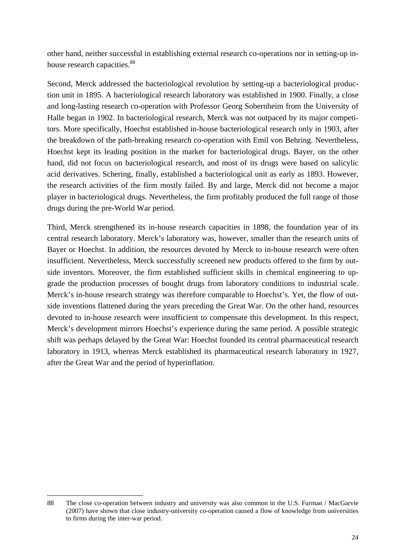other hand, neither successful in establishing external research co-operations nor in setting-up inhouse research capacities.<sup>88</sup>

Second, Merck addressed the bacteriological revolution by setting-up a bacteriological production unit in 1895. A bacteriological research laboratory was established in 1900. Finally, a close and long-lasting research co-operation with Professor Georg Sobernheim from the University of Halle began in 1902. In bacteriological research, Merck was not outpaced by its major competitors. More specifically, Hoechst established in-house bacteriological research only in 1903, after the breakdown of the path-breaking research co-operation with Emil von Behring. Nevertheless, Hoechst kept its leading position in the market for bacteriological drugs. Bayer, on the other hand, did not focus on bacteriological research, and most of its drugs were based on salicylic acid derivatives. Schering, finally, established a bacteriological unit as early as 1893. However, the research activities of the firm mostly failed. By and large, Merck did not become a major player in bacteriological drugs. Nevertheless, the firm profitably produced the full range of those drugs during the pre-World War period.

Third, Merck strengthened its in-house research capacities in 1898, the foundation year of its central research laboratory. Merck's laboratory was, however, smaller than the research units of Bayer or Hoechst. In addition, the resources devoted by Merck to in-house research were often insufficient. Nevertheless, Merck successfully screened new products offered to the firm by outside inventors. Moreover, the firm established sufficient skills in chemical engineering to upgrade the production processes of bought drugs from laboratory conditions to industrial scale. Merck's in-house research strategy was therefore comparable to Hoechst's. Yet, the flow of outside inventions flattened during the years preceding the Great War. On the other hand, resources devoted to in-house research were insufficient to compensate this development. In this respect, Merck's development mirrors Hoechst's experience during the same period. A possible strategic shift was perhaps delayed by the Great War: Hoechst founded its central pharmaceutical research laboratory in 1913, whereas Merck established its pharmaceutical research laboratory in 1927, after the Great War and the period of hyperinflation.

-

<sup>88</sup> The close co-operation between industry and university was also common in the U.S. Furman / MacGarvie (2007) have shown that close industry-university co-operation caused a flow of knowledge from universities to firms during the inter-war period.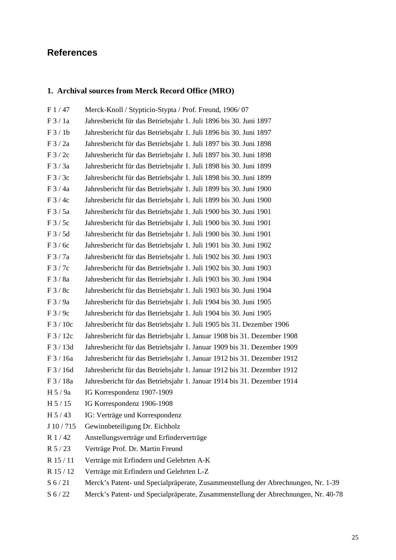## **References**

## **1. Archival sources from Merck Record Office (MRO)**

| F1/47             | Merck-Knoll / Stypticin-Stypta / Prof. Freund, 1906/07                              |
|-------------------|-------------------------------------------------------------------------------------|
| F3/1a             | Jahresbericht für das Betriebsjahr 1. Juli 1896 bis 30. Juni 1897                   |
| F3/1b             | Jahresbericht für das Betriebsjahr 1. Juli 1896 bis 30. Juni 1897                   |
| F 3 / 2a          | Jahresbericht für das Betriebsjahr 1. Juli 1897 bis 30. Juni 1898                   |
| F3/2c             | Jahresbericht für das Betriebsjahr 1. Juli 1897 bis 30. Juni 1898                   |
| F 3 / 3a          | Jahresbericht für das Betriebsjahr 1. Juli 1898 bis 30. Juni 1899                   |
| F3/3c             | Jahresbericht für das Betriebsjahr 1. Juli 1898 bis 30. Juni 1899                   |
| $F$ 3 / 4a        | Jahresbericht für das Betriebsjahr 1. Juli 1899 bis 30. Juni 1900                   |
| F3/4c             | Jahresbericht für das Betriebsjahr 1. Juli 1899 bis 30. Juni 1900                   |
| F3/5a             | Jahresbericht für das Betriebsjahr 1. Juli 1900 bis 30. Juni 1901                   |
| F3/5c             | Jahresbericht für das Betriebsjahr 1. Juli 1900 bis 30. Juni 1901                   |
| F3/5d             | Jahresbericht für das Betriebsjahr 1. Juli 1900 bis 30. Juni 1901                   |
| F3/6c             | Jahresbericht für das Betriebsjahr 1. Juli 1901 bis 30. Juni 1902                   |
| F3/7a             | Jahresbericht für das Betriebsjahr 1. Juli 1902 bis 30. Juni 1903                   |
| F 3 / 7c          | Jahresbericht für das Betriebsjahr 1. Juli 1902 bis 30. Juni 1903                   |
| F3/8a             | Jahresbericht für das Betriebsjahr 1. Juli 1903 bis 30. Juni 1904                   |
| F3/8c             | Jahresbericht für das Betriebsjahr 1. Juli 1903 bis 30. Juni 1904                   |
| F3/9a             | Jahresbericht für das Betriebsjahr 1. Juli 1904 bis 30. Juni 1905                   |
| F3/9c             | Jahresbericht für das Betriebsjahr 1. Juli 1904 bis 30. Juni 1905                   |
| F 3 / 10c         | Jahresbericht für das Betriebsjahr 1. Juli 1905 bis 31. Dezember 1906               |
| F 3 / 12c         | Jahresbericht für das Betriebsjahr 1. Januar 1908 bis 31. Dezember 1908             |
| F 3 / 13d         | Jahresbericht für das Betriebsjahr 1. Januar 1909 bis 31. Dezember 1909             |
| F 3 / 16a         | Jahresbericht für das Betriebsjahr 1. Januar 1912 bis 31. Dezember 1912             |
| F 3 / 16d         | Jahresbericht für das Betriebsjahr 1. Januar 1912 bis 31. Dezember 1912             |
| F 3 / 18a         | Jahresbericht für das Betriebsjahr 1. Januar 1914 bis 31. Dezember 1914             |
| H 5/9a            | IG Korrespondenz 1907-1909                                                          |
| H 5 / 15          | IG Korrespondenz 1906-1908                                                          |
| H 5/43            | IG: Verträge und Korrespondenz                                                      |
| J 10/715          | Gewinnbeteiligung Dr. Eichholz                                                      |
| R 1/42            | Anstellungsverträge und Erfinderverträge                                            |
| $R$ 5/23          | Verträge Prof. Dr. Martin Freund                                                    |
| R 15 / 11         | Verträge mit Erfindern und Gelehrten A-K                                            |
| R 15 / 12         | Verträge mit Erfindern und Gelehrten L-Z                                            |
| $S\ 6/21$         | Merck's Patent- und Specialpräperate, Zusammenstellung der Abrechnungen, Nr. 1-39   |
| $C \subseteq 122$ | Margiz's Detent, und Cnocialprängrate. Zusammanstellung der Abrachnungen. Nr. 40.79 |

S 6 / 22 Merck's Patent- und Specialpräperate, Zusammenstellung der Abrechnungen, Nr. 40-78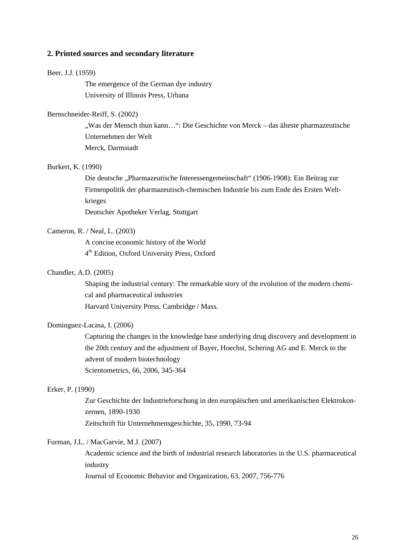#### **2. Printed sources and secondary literature**

#### Beer, J.J. (1959)

The emergence of the German dye industry University of Illinois Press, Urbana

#### Bernschneider-Reiff, S. (2002)

"Was der Mensch thun kann…": Die Geschichte von Merck – das älteste pharmazeutische Unternehmen der Welt Merck, Darmstadt

### Burkert, K. (1990)

Die deutsche "Pharmazeutische Interessengemeinschaft" (1906-1908): Ein Beitrag zur Firmenpolitik der pharmazeutisch-chemischen Industrie bis zum Ende des Ersten Weltkrieges

Deutscher Apotheker Verlag, Stuttgart

### Cameron, R. / Neal, L. (2003)

A concise economic history of the World 4th Edition, Oxford University Press, Oxford

## Chandler, A.D. (2005)

Shaping the industrial century: The remarkable story of the evolution of the modern chemical and pharmaceutical industries Harvard University Press, Cambridge / Mass.

## Dominguez-Lacasa, I. (2006)

Capturing the changes in the knowledge base underlying drug discovery and development in the 20th century and the adjustment of Bayer, Hoechst, Schering AG and E. Merck to the advent of modern biotechnology Scientometrics, 66, 2006, 345-364

#### Erker, P. (1990)

Zur Geschichte der Industrieforschung in den europäischen und amerikanischen Elektrokonzernen, 1890-1930 Zeitschrift für Unternehmensgeschichte, 35, 1990, 73-94

#### Furman, J.L. / MacGarvie, M.J. (2007)

Academic science and the birth of industrial research laboratories in the U.S. pharmaceutical industry

Journal of Economic Behavior and Organization, 63, 2007, 756-776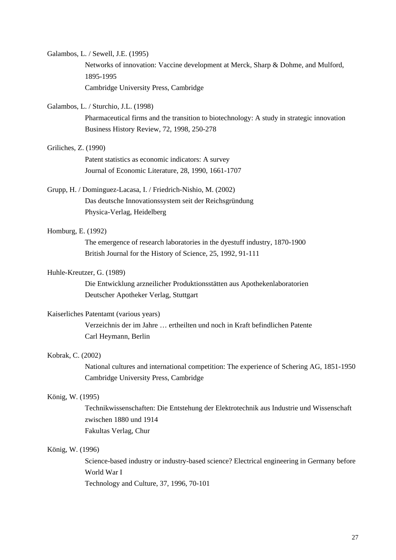#### Galambos, L. / Sewell, J.E. (1995)

Networks of innovation: Vaccine development at Merck, Sharp & Dohme, and Mulford, 1895-1995

Cambridge University Press, Cambridge

### Galambos, L. / Sturchio, J.L. (1998)

Pharmaceutical firms and the transition to biotechnology: A study in strategic innovation Business History Review, 72, 1998, 250-278

#### Griliches, Z. (1990)

Patent statistics as economic indicators: A survey Journal of Economic Literature, 28, 1990, 1661-1707

## Grupp, H. / Dominguez-Lacasa, I. / Friedrich-Nishio, M. (2002)

Das deutsche Innovationssystem seit der Reichsgründung Physica-Verlag, Heidelberg

## Homburg, E. (1992)

The emergence of research laboratories in the dyestuff industry, 1870-1900 British Journal for the History of Science, 25, 1992, 91-111

## Huhle-Kreutzer, G. (1989)

Die Entwicklung arzneilicher Produktionsstätten aus Apothekenlaboratorien Deutscher Apotheker Verlag, Stuttgart

#### Kaiserliches Patentamt (various years)

Verzeichnis der im Jahre … ertheilten und noch in Kraft befindlichen Patente Carl Heymann, Berlin

## Kobrak, C. (2002)

National cultures and international competition: The experience of Schering AG, 1851-1950 Cambridge University Press, Cambridge

#### König, W. (1995)

Technikwissenschaften: Die Entstehung der Elektrotechnik aus Industrie und Wissenschaft zwischen 1880 und 1914 Fakultas Verlag, Chur

#### König, W. (1996)

Science-based industry or industry-based science? Electrical engineering in Germany before World War I

Technology and Culture, 37, 1996, 70-101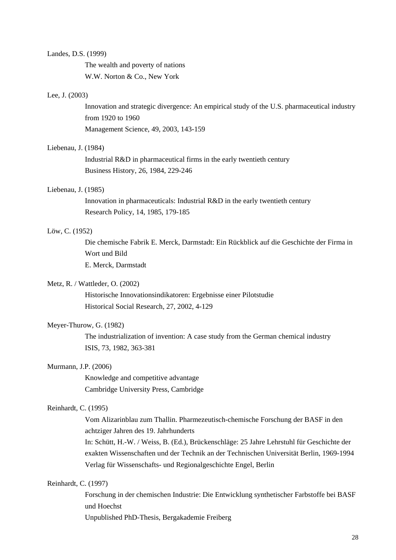#### Landes, D.S. (1999)

The wealth and poverty of nations W.W. Norton & Co., New York

#### Lee, J. (2003)

Innovation and strategic divergence: An empirical study of the U.S. pharmaceutical industry from 1920 to 1960 Management Science, 49, 2003, 143-159

#### Liebenau, J. (1984)

Industrial R&D in pharmaceutical firms in the early twentieth century Business History, 26, 1984, 229-246

### Liebenau, J. (1985)

Innovation in pharmaceuticals: Industrial R&D in the early twentieth century Research Policy, 14, 1985, 179-185

### Löw, C. (1952)

Die chemische Fabrik E. Merck, Darmstadt: Ein Rückblick auf die Geschichte der Firma in Wort und Bild

E. Merck, Darmstadt

#### Metz, R. / Wattleder, O. (2002)

Historische Innovationsindikatoren: Ergebnisse einer Pilotstudie Historical Social Research, 27, 2002, 4-129

## Meyer-Thurow, G. (1982)

The industrialization of invention: A case study from the German chemical industry ISIS, 73, 1982, 363-381

#### Murmann, J.P. (2006)

Knowledge and competitive advantage Cambridge University Press, Cambridge

### Reinhardt, C. (1995)

Vom Alizarinblau zum Thallin. Pharmezeutisch-chemische Forschung der BASF in den achtziger Jahren des 19. Jahrhunderts

In: Schütt, H.-W. / Weiss, B. (Ed.), Brückenschläge: 25 Jahre Lehrstuhl für Geschichte der exakten Wissenschaften und der Technik an der Technischen Universität Berlin, 1969-1994 Verlag für Wissenschafts- und Regionalgeschichte Engel, Berlin

## Reinhardt, C. (1997)

Forschung in der chemischen Industrie: Die Entwicklung synthetischer Farbstoffe bei BASF und Hoechst

Unpublished PhD-Thesis, Bergakademie Freiberg